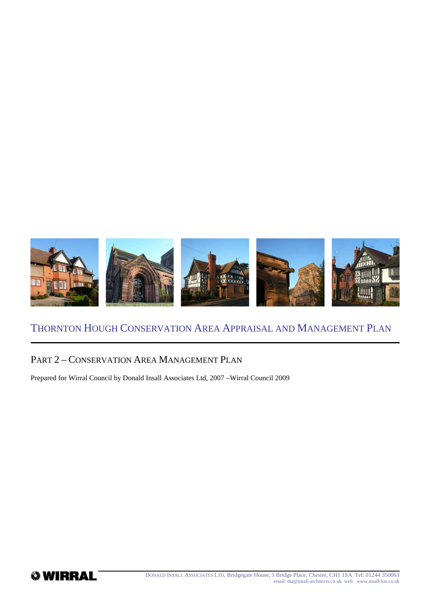

#### PART 2 – CONSERVATION AREA MANAGEMENT PLAN

Prepared for Wirral Council by Donald Insall Associates Ltd, 2007 –Wirral Council 2009

*<b><i>*WIRRAL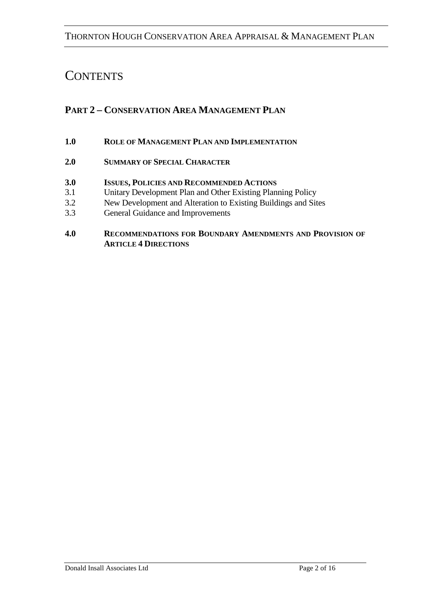# **CONTENTS**

# **PART 2 – CONSERVATION AREA MANAGEMENT PLAN**

#### **1.0 ROLE OF MANAGEMENT PLAN AND IMPLEMENTATION**

#### **2.0 SUMMARY OF SPECIAL CHARACTER**

#### **3.0 ISSUES, POLICIES AND RECOMMENDED ACTIONS**

- 3.1 Unitary Development Plan and Other Existing Planning Policy
- 3.2 New Development and Alteration to Existing Buildings and Sites
- 3.3 General Guidance and Improvements

#### **4.0 RECOMMENDATIONS FOR BOUNDARY AMENDMENTS AND PROVISION OF ARTICLE 4 DIRECTIONS**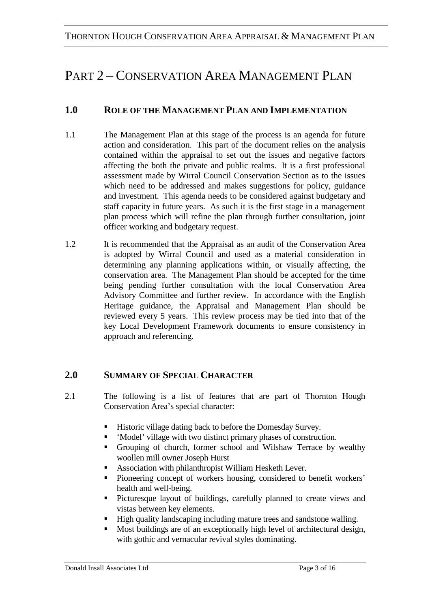# PART 2 – CONSERVATION AREA MANAGEMENT PLAN

# **1.0 ROLE OF THE MANAGEMENT PLAN AND IMPLEMENTATION**

- 1.1 The Management Plan at this stage of the process is an agenda for future action and consideration. This part of the document relies on the analysis contained within the appraisal to set out the issues and negative factors affecting the both the private and public realms. It is a first professional assessment made by Wirral Council Conservation Section as to the issues which need to be addressed and makes suggestions for policy, guidance and investment. This agenda needs to be considered against budgetary and staff capacity in future years. As such it is the first stage in a management plan process which will refine the plan through further consultation, joint officer working and budgetary request.
- 1.2 It is recommended that the Appraisal as an audit of the Conservation Area is adopted by Wirral Council and used as a material consideration in determining any planning applications within, or visually affecting, the conservation area. The Management Plan should be accepted for the time being pending further consultation with the local Conservation Area Advisory Committee and further review. In accordance with the English Heritage guidance, the Appraisal and Management Plan should be reviewed every 5 years. This review process may be tied into that of the key Local Development Framework documents to ensure consistency in approach and referencing.

# **2.0 SUMMARY OF SPECIAL CHARACTER**

- 2.1 The following is a list of features that are part of Thornton Hough Conservation Area's special character:
	- Historic village dating back to before the Domesday Survey.
	- 'Model' village with two distinct primary phases of construction.
	- Grouping of church, former school and Wilshaw Terrace by wealthy woollen mill owner Joseph Hurst
	- Association with philanthropist William Hesketh Lever.
	- Pioneering concept of workers housing, considered to benefit workers' health and well-being.
	- Picturesque layout of buildings, carefully planned to create views and vistas between key elements.
	- High quality landscaping including mature trees and sandstone walling.
	- Most buildings are of an exceptionally high level of architectural design, with gothic and vernacular revival styles dominating.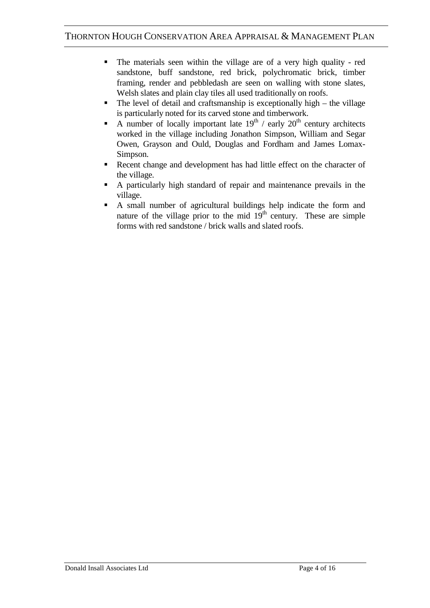- The materials seen within the village are of a very high quality red sandstone, buff sandstone, red brick, polychromatic brick, timber framing, render and pebbledash are seen on walling with stone slates, Welsh slates and plain clay tiles all used traditionally on roofs.
- $\blacksquare$  The level of detail and craftsmanship is exceptionally high the village is particularly noted for its carved stone and timberwork.
- A number of locally important late  $19<sup>th</sup>$  / early  $20<sup>th</sup>$  century architects worked in the village including Jonathon Simpson, William and Segar Owen, Grayson and Ould, Douglas and Fordham and James Lomax-Simpson.
- Recent change and development has had little effect on the character of the village.
- A particularly high standard of repair and maintenance prevails in the village.
- A small number of agricultural buildings help indicate the form and nature of the village prior to the mid  $19<sup>th</sup>$  century. These are simple forms with red sandstone / brick walls and slated roofs.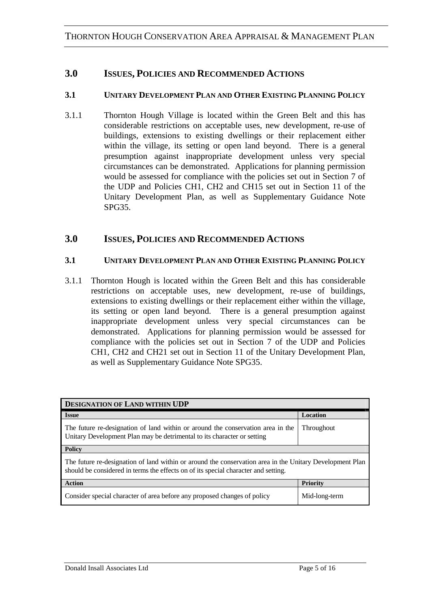#### **3.0 ISSUES, POLICIES AND RECOMMENDED ACTIONS**

#### **3.1 UNITARY DEVELOPMENT PLAN AND OTHER EXISTING PLANNING POLICY**

3.1.1 Thornton Hough Village is located within the Green Belt and this has considerable restrictions on acceptable uses, new development, re-use of buildings, extensions to existing dwellings or their replacement either within the village, its setting or open land beyond. There is a general presumption against inappropriate development unless very special circumstances can be demonstrated. Applications for planning permission would be assessed for compliance with the policies set out in Section 7 of the UDP and Policies CH1, CH2 and CH15 set out in Section 11 of the Unitary Development Plan, as well as Supplementary Guidance Note SPG35.

#### **3.0 ISSUES, POLICIES AND RECOMMENDED ACTIONS**

#### **3.1 UNITARY DEVELOPMENT PLAN AND OTHER EXISTING PLANNING POLICY**

3.1.1 Thornton Hough is located within the Green Belt and this has considerable restrictions on acceptable uses, new development, re-use of buildings, extensions to existing dwellings or their replacement either within the village, its setting or open land beyond. There is a general presumption against inappropriate development unless very special circumstances can be demonstrated. Applications for planning permission would be assessed for compliance with the policies set out in Section 7 of the UDP and Policies CH1, CH2 and CH21 set out in Section 11 of the Unitary Development Plan, as well as Supplementary Guidance Note SPG35.

| <b>DESIGNATION OF LAND WITHIN UDP</b>                                                                                                                                                          |                 |  |
|------------------------------------------------------------------------------------------------------------------------------------------------------------------------------------------------|-----------------|--|
| <b>Issue</b>                                                                                                                                                                                   | Location        |  |
| The future re-designation of land within or around the conservation area in the<br>Unitary Development Plan may be detrimental to its character or setting                                     | Throughout      |  |
| <b>Policy</b>                                                                                                                                                                                  |                 |  |
| The future re-designation of land within or around the conservation area in the Unitary Development Plan<br>should be considered in terms the effects on of its special character and setting. |                 |  |
| <b>Action</b>                                                                                                                                                                                  | <b>Priority</b> |  |
| Consider special character of area before any proposed changes of policy                                                                                                                       | Mid-long-term   |  |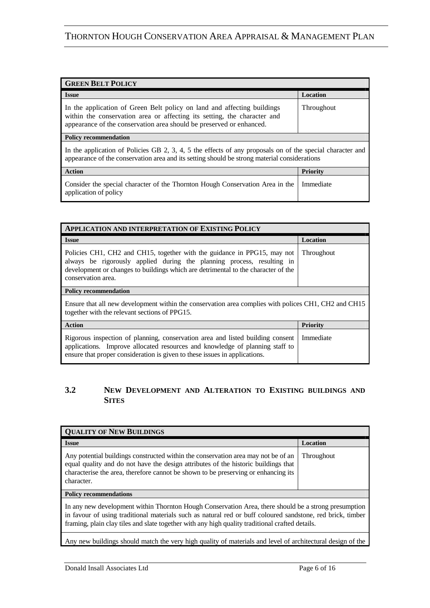| <b>GREEN BELT POLICY</b>                                                                                                                                                                                                    |                 |  |
|-----------------------------------------------------------------------------------------------------------------------------------------------------------------------------------------------------------------------------|-----------------|--|
| <b>Issue</b>                                                                                                                                                                                                                | Location        |  |
| In the application of Green Belt policy on land and affecting buildings<br>within the conservation area or affecting its setting, the character and<br>appearance of the conservation area should be preserved or enhanced. | Throughout      |  |
| <b>Policy recommendation</b>                                                                                                                                                                                                |                 |  |
| In the application of Policies GB 2, 3, 4, 5 the effects of any proposals on of the special character and<br>appearance of the conservation area and its setting should be strong material considerations                   |                 |  |
| <b>Action</b>                                                                                                                                                                                                               | <b>Priority</b> |  |
| Consider the special character of the Thornton Hough Conservation Area in the<br>application of policy                                                                                                                      | Immediate       |  |

| <b>APPLICATION AND INTERPRETATION OF EXISTING POLICY</b>                                                                                                                                                                                                      |                 |  |
|---------------------------------------------------------------------------------------------------------------------------------------------------------------------------------------------------------------------------------------------------------------|-----------------|--|
| <b>Issue</b>                                                                                                                                                                                                                                                  | Location        |  |
| Policies CH1, CH2 and CH15, together with the guidance in PPG15, may not<br>always be rigorously applied during the planning process, resulting in<br>development or changes to buildings which are detrimental to the character of the<br>conservation area. | Throughout      |  |
| <b>Policy recommendation</b>                                                                                                                                                                                                                                  |                 |  |
| Ensure that all new development within the conservation area complies with polices CH1, CH2 and CH15<br>together with the relevant sections of PPG15.                                                                                                         |                 |  |
| <b>Action</b>                                                                                                                                                                                                                                                 | <b>Priority</b> |  |
| Rigorous inspection of planning, conservation area and listed building consent<br>applications. Improve allocated resources and knowledge of planning staff to<br>ensure that proper consideration is given to these issues in applications.                  | Immediate       |  |

#### **3.2 NEW DEVELOPMENT AND ALTERATION TO EXISTING BUILDINGS AND SITES**

| <b>QUALITY OF NEW BUILDINGS</b>                                                                                                                                                                                                                                                                                       |            |
|-----------------------------------------------------------------------------------------------------------------------------------------------------------------------------------------------------------------------------------------------------------------------------------------------------------------------|------------|
| <b>Issue</b>                                                                                                                                                                                                                                                                                                          | Location   |
| Any potential buildings constructed within the conservation area may not be of an<br>equal quality and do not have the design attributes of the historic buildings that<br>characterise the area, therefore cannot be shown to be preserving or enhancing its<br>character.                                           | Throughout |
| <b>Policy recommendations</b>                                                                                                                                                                                                                                                                                         |            |
| In any new development within Thornton Hough Conservation Area, there should be a strong presumption<br>in favour of using traditional materials such as natural red or buff coloured sandstone, red brick, timber<br>framing, plain clay tiles and slate together with any high quality traditional crafted details. |            |
| Any new buildings should match the very high quality of materials and level of architectural design of the                                                                                                                                                                                                            |            |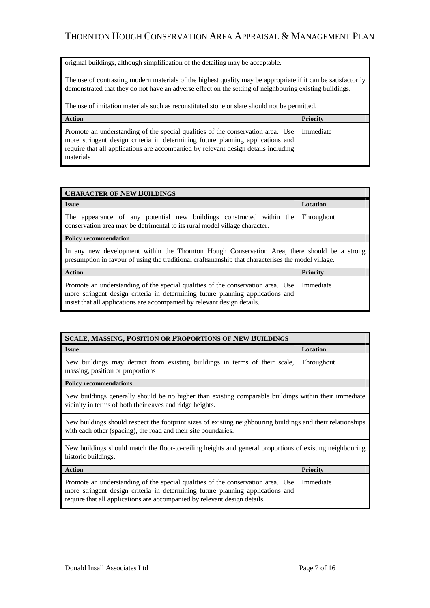original buildings, although simplification of the detailing may be acceptable.

The use of contrasting modern materials of the highest quality may be appropriate if it can be satisfactorily demonstrated that they do not have an adverse effect on the setting of neighbouring existing buildings.

The use of imitation materials such as reconstituted stone or slate should not be permitted.

| <b>Action</b>                                                                                                                                                                                                                                                                    | <b>Priority</b> |
|----------------------------------------------------------------------------------------------------------------------------------------------------------------------------------------------------------------------------------------------------------------------------------|-----------------|
| Promote an understanding of the special qualities of the conservation area. Use   Immediate<br>more stringent design criteria in determining future planning applications and<br>require that all applications are accompanied by relevant design details including<br>materials |                 |

| <b>CHARACTER OF NEW BUILDINGS</b>                                                                                                                                                                                                             |                 |  |
|-----------------------------------------------------------------------------------------------------------------------------------------------------------------------------------------------------------------------------------------------|-----------------|--|
| <b>Issue</b>                                                                                                                                                                                                                                  | Location        |  |
| The appearance of any potential new buildings constructed within the<br>conservation area may be detrimental to its rural model village character.                                                                                            | Throughout      |  |
| <b>Policy recommendation</b>                                                                                                                                                                                                                  |                 |  |
| In any new development within the Thornton Hough Conservation Area, there should be a strong<br>presumption in favour of using the traditional craftsmanship that characterises the model village.                                            |                 |  |
| <b>Action</b>                                                                                                                                                                                                                                 | <b>Priority</b> |  |
| Promote an understanding of the special qualities of the conservation area. Use<br>more stringent design criteria in determining future planning applications and<br>insist that all applications are accompanied by relevant design details. | Immediate       |  |

| <b>SCALE, MASSING, POSITION OR PROPORTIONS OF NEW BUILDINGS</b>                                                                                                                                                                                |                 |
|------------------------------------------------------------------------------------------------------------------------------------------------------------------------------------------------------------------------------------------------|-----------------|
| <b>Issue</b>                                                                                                                                                                                                                                   | Location        |
| New buildings may detract from existing buildings in terms of their scale,<br>massing, position or proportions                                                                                                                                 | Throughout      |
| <b>Policy recommendations</b>                                                                                                                                                                                                                  |                 |
| New buildings generally should be no higher than existing comparable buildings within their immediate<br>vicinity in terms of both their eaves and ridge heights.                                                                              |                 |
| New buildings should respect the footprint sizes of existing neighbouring buildings and their relationships<br>with each other (spacing), the road and their site boundaries.                                                                  |                 |
| New buildings should match the floor-to-ceiling heights and general proportions of existing neighbouring<br>historic buildings.                                                                                                                |                 |
| <b>Action</b>                                                                                                                                                                                                                                  | <b>Priority</b> |
| Promote an understanding of the special qualities of the conservation area. Use<br>more stringent design criteria in determining future planning applications and<br>require that all applications are accompanied by relevant design details. | Immediate       |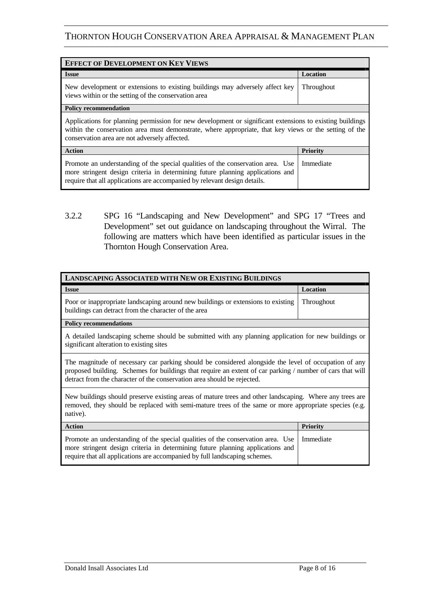| <b>EFFECT OF DEVELOPMENT ON KEY VIEWS</b>                                                                                                                                                                                                                           |                 |  |
|---------------------------------------------------------------------------------------------------------------------------------------------------------------------------------------------------------------------------------------------------------------------|-----------------|--|
| <b>Issue</b>                                                                                                                                                                                                                                                        | Location        |  |
| New development or extensions to existing buildings may adversely affect key<br>views within or the setting of the conservation area                                                                                                                                | Throughout      |  |
| <b>Policy recommendation</b>                                                                                                                                                                                                                                        |                 |  |
| Applications for planning permission for new development or significant extensions to existing buildings<br>within the conservation area must demonstrate, where appropriate, that key views or the setting of the<br>conservation area are not adversely affected. |                 |  |
| <b>Action</b>                                                                                                                                                                                                                                                       | <b>Priority</b> |  |
| Promote an understanding of the special qualities of the conservation area. Use<br>more stringent design criteria in determining future planning applications and<br>require that all applications are accompanied by relevant design details.                      | Immediate       |  |

3.2.2 SPG 16 "Landscaping and New Development" and SPG 17 "Trees and Development" set out guidance on landscaping throughout the Wirral. The following are matters which have been identified as particular issues in the Thornton Hough Conservation Area.

| <b>LANDSCAPING ASSOCIATED WITH NEW OR EXISTING BUILDINGS</b>                                                                                                                                                                                                                                 |                 |
|----------------------------------------------------------------------------------------------------------------------------------------------------------------------------------------------------------------------------------------------------------------------------------------------|-----------------|
| <b>Issue</b>                                                                                                                                                                                                                                                                                 | Location        |
| Poor or inappropriate landscaping around new buildings or extensions to existing<br>buildings can detract from the character of the area                                                                                                                                                     | Throughout      |
| <b>Policy recommendations</b>                                                                                                                                                                                                                                                                |                 |
| A detailed landscaping scheme should be submitted with any planning application for new buildings or<br>significant alteration to existing sites                                                                                                                                             |                 |
| The magnitude of necessary car parking should be considered alongside the level of occupation of any<br>proposed building. Schemes for buildings that require an extent of car parking / number of cars that will<br>detract from the character of the conservation area should be rejected. |                 |
| New buildings should preserve existing areas of mature trees and other landscaping. Where any trees are<br>removed, they should be replaced with semi-mature trees of the same or more appropriate species (e.g.<br>native).                                                                 |                 |
| <b>Action</b>                                                                                                                                                                                                                                                                                | <b>Priority</b> |
| Promote an understanding of the special qualities of the conservation area. Use<br>more stringent design criteria in determining future planning applications and<br>require that all applications are accompanied by full landscaping schemes.                                              | Immediate       |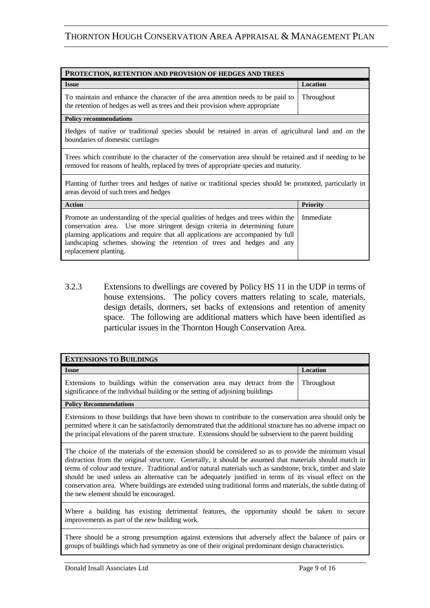| PROTECTION, RETENTION AND PROVISION OF HEDGES AND TREES                                                                                                                                                                                                                                                                                              |                   |
|------------------------------------------------------------------------------------------------------------------------------------------------------------------------------------------------------------------------------------------------------------------------------------------------------------------------------------------------------|-------------------|
| <b>Issue</b>                                                                                                                                                                                                                                                                                                                                         | Location          |
| To maintain and enhance the character of the area attention needs to be paid to<br>the retention of hedges as well as trees and their provision where appropriate                                                                                                                                                                                    | <b>Throughout</b> |
| <b>Policy recommendations</b>                                                                                                                                                                                                                                                                                                                        |                   |
| Hedges of native or traditional species should be retained in areas of agricultural land and on the<br>boundaries of domestic curtilages                                                                                                                                                                                                             |                   |
| Trees which contribute to the character of the conservation area should be retained and if needing to be<br>removed for reasons of health, replaced by trees of appropriate species and maturity.                                                                                                                                                    |                   |
| Planting of further trees and hedges of native or traditional species should be promoted, particularly in<br>areas devoid of such trees and hedges                                                                                                                                                                                                   |                   |
| <b>Action</b>                                                                                                                                                                                                                                                                                                                                        | <b>Priority</b>   |
| Promote an understanding of the special qualities of hedges and trees within the<br>conservation area. Use more stringent design criteria in determining future<br>planning applications and require that all applications are accompanied by full<br>landscaping schemes showing the retention of trees and hedges and any<br>replacement planting. | Immediate         |

3.2.3 Extensions to dwellings are covered by Policy HS 11 in the UDP in terms of house extensions. The policy covers matters relating to scale, materials, design details, dormers, set backs of extensions and retention of amenity space. The following are additional matters which have been identified as particular issues in the Thornton Hough Conservation Area.

| <b>EXTENSIONS TO BUILDINGS</b>                                                                                                                                                                                                                                                                                                                                                                                                                                                                                                                                                                    |            |
|---------------------------------------------------------------------------------------------------------------------------------------------------------------------------------------------------------------------------------------------------------------------------------------------------------------------------------------------------------------------------------------------------------------------------------------------------------------------------------------------------------------------------------------------------------------------------------------------------|------------|
| <b>Issue</b>                                                                                                                                                                                                                                                                                                                                                                                                                                                                                                                                                                                      | Location   |
| Extensions to buildings within the conservation area may detract from the<br>significance of the individual building or the setting of adjoining buildings                                                                                                                                                                                                                                                                                                                                                                                                                                        | Throughout |
| <b>Policy Recommendations</b>                                                                                                                                                                                                                                                                                                                                                                                                                                                                                                                                                                     |            |
| Extensions to those buildings that have been shown to contribute to the conservation area should only be<br>permitted where it can be satisfactorily demonstrated that the additional structure has no adverse impact on<br>the principal elevations of the parent structure. Extensions should be subservient to the parent building                                                                                                                                                                                                                                                             |            |
| The choice of the materials of the extension should be considered so as to provide the minimum visual<br>distraction from the original structure. Generally, it should be assumed that materials should match in<br>terms of colour and texture. Traditional and/or natural materials such as sandstone, brick, timber and slate<br>should be used unless an alternative can be adequately justified in terms of its visual effect on the<br>conservation area. Where buildings are extended using traditional forms and materials, the subtle dating of<br>the new element should be encouraged. |            |
| Where a building has existing detrimental features, the opportunity should be taken to secure                                                                                                                                                                                                                                                                                                                                                                                                                                                                                                     |            |

improvements as part of the new building work.

There should be a strong presumption against extensions that adversely affect the balance of pairs or groups of buildings which had symmetry as one of their original predominant design characteristics.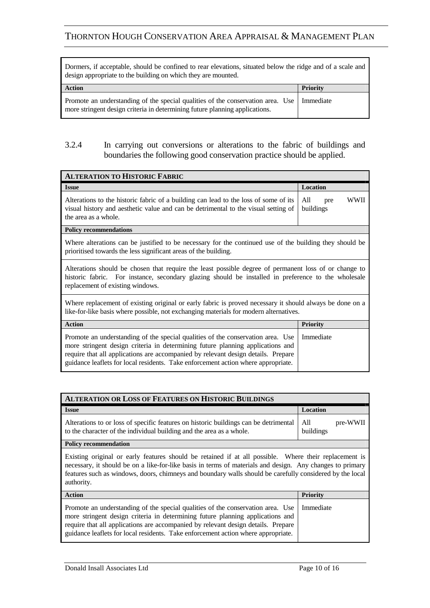Dormers, if acceptable, should be confined to rear elevations, situated below the ridge and of a scale and design appropriate to the building on which they are mounted.

| <b>Action</b>                                                                                                                                                              | Priority |
|----------------------------------------------------------------------------------------------------------------------------------------------------------------------------|----------|
| Promote an understanding of the special qualities of the conservation area. Use   Immediate<br>more stringent design criteria in determining future planning applications. |          |

#### 3.2.4 In carrying out conversions or alterations to the fabric of buildings and boundaries the following good conservation practice should be applied.

| <b>ALTERATION TO HISTORIC FABRIC</b>                                                                                                                                                                                                                                                                                                        |                                 |  |
|---------------------------------------------------------------------------------------------------------------------------------------------------------------------------------------------------------------------------------------------------------------------------------------------------------------------------------------------|---------------------------------|--|
| <b>Issue</b>                                                                                                                                                                                                                                                                                                                                | Location                        |  |
| Alterations to the historic fabric of a building can lead to the loss of some of its<br>visual history and aesthetic value and can be detrimental to the visual setting of<br>the area as a whole.                                                                                                                                          | WWII<br>All<br>pre<br>buildings |  |
| <b>Policy recommendations</b>                                                                                                                                                                                                                                                                                                               |                                 |  |
| Where alterations can be justified to be necessary for the continued use of the building they should be<br>prioritised towards the less significant areas of the building.                                                                                                                                                                  |                                 |  |
| Alterations should be chosen that require the least possible degree of permanent loss of or change to<br>historic fabric. For instance, secondary glazing should be installed in preference to the wholesale<br>replacement of existing windows.                                                                                            |                                 |  |
| Where replacement of existing original or early fabric is proved necessary it should always be done on a<br>like-for-like basis where possible, not exchanging materials for modern alternatives.                                                                                                                                           |                                 |  |
| <b>Action</b>                                                                                                                                                                                                                                                                                                                               | <b>Priority</b>                 |  |
| Promote an understanding of the special qualities of the conservation area. Use<br>more stringent design criteria in determining future planning applications and<br>require that all applications are accompanied by relevant design details. Prepare<br>guidance leaflets for local residents. Take enforcement action where appropriate. | Immediate                       |  |

| <b>ALTERATION OR LOSS OF FEATURES ON HISTORIC BUILDINGS</b>                                                                                                                                                                                                                                                                                  |                              |
|----------------------------------------------------------------------------------------------------------------------------------------------------------------------------------------------------------------------------------------------------------------------------------------------------------------------------------------------|------------------------------|
| <b>Issue</b>                                                                                                                                                                                                                                                                                                                                 | Location                     |
| Alterations to or loss of specific features on historic buildings can be detrimental<br>to the character of the individual building and the area as a whole.                                                                                                                                                                                 | All<br>pre-WWII<br>buildings |
| <b>Policy recommendation</b>                                                                                                                                                                                                                                                                                                                 |                              |
| Existing original or early features should be retained if at all possible. Where their replacement is<br>necessary, it should be on a like-for-like basis in terms of materials and design. Any changes to primary<br>features such as windows, doors, chimneys and boundary walls should be carefully considered by the local<br>authority. |                              |
| <b>Action</b>                                                                                                                                                                                                                                                                                                                                | <b>Priority</b>              |
| Promote an understanding of the special qualities of the conservation area. Use<br>more stringent design criteria in determining future planning applications and<br>require that all applications are accompanied by relevant design details. Prepare<br>guidance leaflets for local residents. Take enforcement action where appropriate.  | Immediate                    |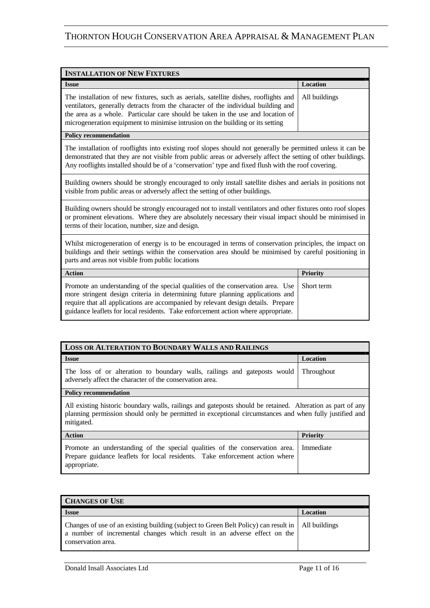| <b>INSTALLATION OF NEW FIXTURES</b>                                                                                                                                                                                                                                                                                                           |                 |
|-----------------------------------------------------------------------------------------------------------------------------------------------------------------------------------------------------------------------------------------------------------------------------------------------------------------------------------------------|-----------------|
| <b>Issue</b>                                                                                                                                                                                                                                                                                                                                  | Location        |
| The installation of new fixtures, such as aerials, satellite dishes, rooflights and<br>ventilators, generally detracts from the character of the individual building and<br>the area as a whole. Particular care should be taken in the use and location of<br>microgeneration equipment to minimise intrusion on the building or its setting | All buildings   |
| <b>Policy recommendation</b>                                                                                                                                                                                                                                                                                                                  |                 |
| The installation of rooflights into existing roof slopes should not generally be permitted unless it can be<br>demonstrated that they are not visible from public areas or adversely affect the setting of other buildings.<br>Any rooflights installed should be of a 'conservation' type and fixed flush with the roof covering.            |                 |
| Building owners should be strongly encouraged to only install satellite dishes and aerials in positions not<br>visible from public areas or adversely affect the setting of other buildings.                                                                                                                                                  |                 |
| Building owners should be strongly encouraged not to install ventilators and other fixtures onto roof slopes<br>or prominent elevations. Where they are absolutely necessary their visual impact should be minimised in<br>terms of their location, number, size and design.                                                                  |                 |
| Whilst microgeneration of energy is to be encouraged in terms of conservation principles, the impact on<br>buildings and their settings within the conservation area should be minimised by careful positioning in<br>parts and areas not visible from public locations                                                                       |                 |
| <b>Action</b>                                                                                                                                                                                                                                                                                                                                 | <b>Priority</b> |
| Promote an understanding of the special qualities of the conservation area. Use<br>more stringent design criteria in determining future planning applications and<br>require that all applications are accompanied by relevant design details. Prepare<br>guidance leaflets for local residents. Take enforcement action where appropriate.   | Short term      |

| LOSS OR ALTERATION TO BOUNDARY WALLS AND RAILINGS                                                                                                                                                                                  |                 |  |
|------------------------------------------------------------------------------------------------------------------------------------------------------------------------------------------------------------------------------------|-----------------|--|
| <b>Issue</b>                                                                                                                                                                                                                       | <b>Location</b> |  |
| The loss of or alteration to boundary walls, railings and gateposts would<br>adversely affect the character of the conservation area.                                                                                              | Throughout      |  |
| <b>Policy recommendation</b>                                                                                                                                                                                                       |                 |  |
| All existing historic boundary walls, railings and gateposts should be retained. Alteration as part of any<br>planning permission should only be permitted in exceptional circumstances and when fully justified and<br>mitigated. |                 |  |
| <b>Action</b>                                                                                                                                                                                                                      | <b>Priority</b> |  |
| Promote an understanding of the special qualities of the conservation area.<br>Prepare guidance leaflets for local residents. Take enforcement action where<br>appropriate.                                                        | Immediate       |  |

| <b>CHANGES OF USE</b>                                                                                                                                                                                 |          |
|-------------------------------------------------------------------------------------------------------------------------------------------------------------------------------------------------------|----------|
| <b>Issue</b>                                                                                                                                                                                          | Location |
| Changes of use of an existing building (subject to Green Belt Policy) can result in   All buildings<br>a number of incremental changes which result in an adverse effect on the<br>conservation area. |          |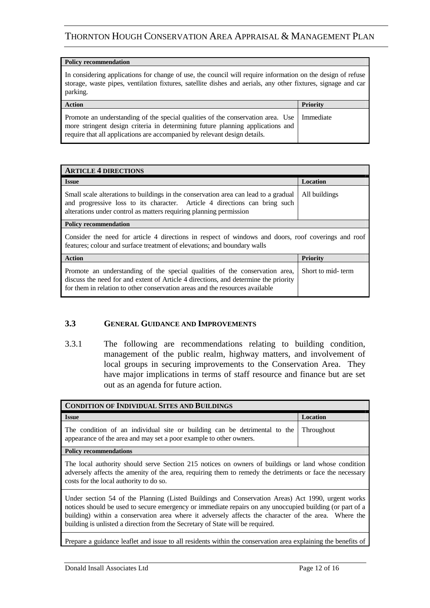#### **Policy recommendation**

In considering applications for change of use, the council will require information on the design of refuse storage, waste pipes, ventilation fixtures, satellite dishes and aerials, any other fixtures, signage and car parking.

| <b>Action</b>                                                                                                                                                                                                                                  | <b>Priority</b> |
|------------------------------------------------------------------------------------------------------------------------------------------------------------------------------------------------------------------------------------------------|-----------------|
| Promote an understanding of the special qualities of the conservation area. Use<br>more stringent design criteria in determining future planning applications and<br>require that all applications are accompanied by relevant design details. | Immediate       |

| <b>ARTICLE 4 DIRECTIONS</b>                                                                                                                                                                                                                        |                   |
|----------------------------------------------------------------------------------------------------------------------------------------------------------------------------------------------------------------------------------------------------|-------------------|
| <b>Issue</b>                                                                                                                                                                                                                                       | Location          |
| Small scale alterations to buildings in the conservation area can lead to a gradual<br>and progressive loss to its character. Article 4 directions can bring such<br>alterations under control as matters requiring planning permission            | All buildings     |
| <b>Policy recommendation</b>                                                                                                                                                                                                                       |                   |
| Consider the need for article 4 directions in respect of windows and doors, roof coverings and roof<br>features; colour and surface treatment of elevations; and boundary walls                                                                    |                   |
| <b>Action</b>                                                                                                                                                                                                                                      | <b>Priority</b>   |
| Promote an understanding of the special qualities of the conservation area,<br>discuss the need for and extent of Article 4 directions, and determine the priority<br>for them in relation to other conservation areas and the resources available | Short to mid-term |

#### **3.3 GENERAL GUIDANCE AND IMPROVEMENTS**

3.3.1 The following are recommendations relating to building condition, management of the public realm, highway matters, and involvement of local groups in securing improvements to the Conservation Area. They have major implications in terms of staff resource and finance but are set out as an agenda for future action.

| <b>CONDITION OF INDIVIDUAL SITES AND BUILDINGS</b>                                                                                                                                                                                                                                                                                                                                                      |            |
|---------------------------------------------------------------------------------------------------------------------------------------------------------------------------------------------------------------------------------------------------------------------------------------------------------------------------------------------------------------------------------------------------------|------------|
| <b>Issue</b>                                                                                                                                                                                                                                                                                                                                                                                            | Location   |
| The condition of an individual site or building can be detrimental to the<br>appearance of the area and may set a poor example to other owners.                                                                                                                                                                                                                                                         | Throughout |
| <b>Policy recommendations</b>                                                                                                                                                                                                                                                                                                                                                                           |            |
| The local authority should serve Section 215 notices on owners of buildings or land whose condition<br>adversely affects the amenity of the area, requiring them to remedy the detriments or face the necessary<br>costs for the local authority to do so.                                                                                                                                              |            |
| Under section 54 of the Planning (Listed Buildings and Conservation Areas) Act 1990, urgent works<br>notices should be used to secure emergency or immediate repairs on any unoccupied building (or part of a<br>building) within a conservation area where it adversely affects the character of the area. Where the<br>building is unlisted a direction from the Secretary of State will be required. |            |

Prepare a guidance leaflet and issue to all residents within the conservation area explaining the benefits of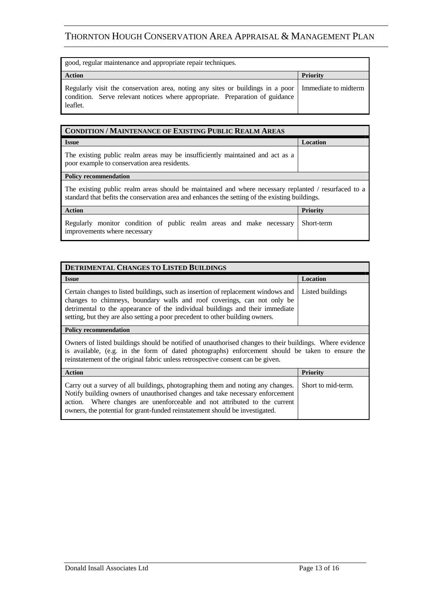| good, regular maintenance and appropriate repair techniques.                                                                                                               |                      |
|----------------------------------------------------------------------------------------------------------------------------------------------------------------------------|----------------------|
| <b>Action</b>                                                                                                                                                              | <b>Priority</b>      |
| Regularly visit the conservation area, noting any sites or buildings in a poor<br>condition. Serve relevant notices where appropriate. Preparation of guidance<br>leaflet. | Immediate to midterm |

| <b>CONDITION / MAINTENANCE OF EXISTING PUBLIC REALM AREAS</b>                                                                                                                                          |                 |
|--------------------------------------------------------------------------------------------------------------------------------------------------------------------------------------------------------|-----------------|
| <b>Issue</b>                                                                                                                                                                                           | Location        |
| The existing public realm areas may be insufficiently maintained and act as a<br>poor example to conservation area residents.                                                                          |                 |
| <b>Policy recommendation</b>                                                                                                                                                                           |                 |
| The existing public realm areas should be maintained and where necessary replanted / resurfaced to a<br>standard that befits the conservation area and enhances the setting of the existing buildings. |                 |
| <b>Action</b>                                                                                                                                                                                          | <b>Priority</b> |
| Regularly monitor condition of public realm areas and make necessary                                                                                                                                   | Short-term      |

improvements where necessary

| DETRIMENTAL CHANGES TO LISTED BUILDINGS                                                                                                                                                                                                                                                                                                         |          |
|-------------------------------------------------------------------------------------------------------------------------------------------------------------------------------------------------------------------------------------------------------------------------------------------------------------------------------------------------|----------|
| <b>Issue</b>                                                                                                                                                                                                                                                                                                                                    | Location |
| Certain changes to listed buildings, such as insertion of replacement windows and Listed buildings<br>changes to chimneys, boundary walls and roof coverings, can not only be<br>detrimental to the appearance of the individual buildings and their immediate<br>setting, but they are also setting a poor precedent to other building owners. |          |
| Policy recommendation                                                                                                                                                                                                                                                                                                                           |          |

Owners of listed buildings should be notified of unauthorised changes to their buildings. Where evidence is available, (e.g. in the form of dated photographs) enforcement should be taken to ensure the reinstatement of the original fabric unless retrospective consent can be given.

| <b>Action</b>                                                                                                                                                                                                                                                                                                                                    | <b>Priority</b> |
|--------------------------------------------------------------------------------------------------------------------------------------------------------------------------------------------------------------------------------------------------------------------------------------------------------------------------------------------------|-----------------|
| Carry out a survey of all buildings, photographing them and noting any changes. Short to mid-term.<br>Notify building owners of unauthorised changes and take necessary enforcement<br>action. Where changes are unenforceable and not attributed to the current<br>owners, the potential for grant-funded reinstatement should be investigated. |                 |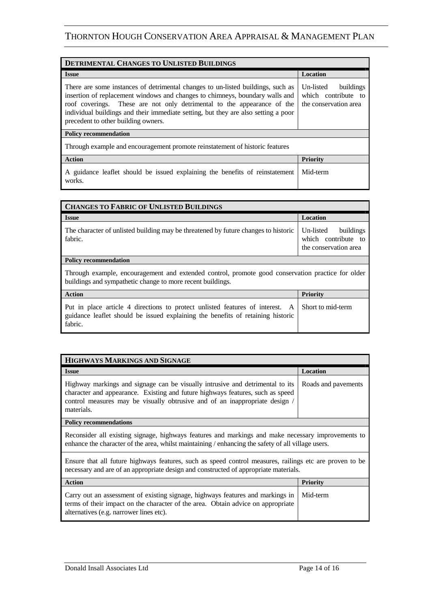| DETRIMENTAL CHANGES TO UNLISTED BUILDINGS                                                                                                                                                                                                                                                                                                                               |                                                                        |  |
|-------------------------------------------------------------------------------------------------------------------------------------------------------------------------------------------------------------------------------------------------------------------------------------------------------------------------------------------------------------------------|------------------------------------------------------------------------|--|
| <b>Issue</b>                                                                                                                                                                                                                                                                                                                                                            | <b>Location</b>                                                        |  |
| There are some instances of detrimental changes to un-listed buildings, such as<br>insertion of replacement windows and changes to chimneys, boundary walls and<br>roof coverings. These are not only detrimental to the appearance of the<br>individual buildings and their immediate setting, but they are also setting a poor<br>precedent to other building owners. | buildings<br>Un-listed<br>which contribute to<br>the conservation area |  |
| <b>Policy recommendation</b>                                                                                                                                                                                                                                                                                                                                            |                                                                        |  |
| Through example and encouragement promote reinstatement of historic features                                                                                                                                                                                                                                                                                            |                                                                        |  |
| <b>Action</b>                                                                                                                                                                                                                                                                                                                                                           | <b>Priority</b>                                                        |  |
| A guidance leaflet should be issued explaining the benefits of reinstatement<br>works.                                                                                                                                                                                                                                                                                  | Mid-term                                                               |  |

| <b>CHANGES TO FABRIC OF UNLISTED BUILDINGS</b>                                                                                                                              |                                                                        |  |
|-----------------------------------------------------------------------------------------------------------------------------------------------------------------------------|------------------------------------------------------------------------|--|
| <b>Issue</b>                                                                                                                                                                | <b>Location</b>                                                        |  |
| The character of unlisted building may be threatened by future changes to historic<br>fabric.                                                                               | Un-listed<br>buildings<br>which contribute to<br>the conservation area |  |
| <b>Policy recommendation</b>                                                                                                                                                |                                                                        |  |
| Through example, encouragement and extended control, promote good conservation practice for older<br>buildings and sympathetic change to more recent buildings.             |                                                                        |  |
| <b>Action</b>                                                                                                                                                               | <b>Priority</b>                                                        |  |
| Put in place article 4 directions to protect unlisted features of interest. A<br>guidance leaflet should be issued explaining the benefits of retaining historic<br>fabric. | Short to mid-term                                                      |  |

| HIGHWAYS MARKINGS AND SIGNAGE                                                                                                                                                                                                                                                      |          |  |
|------------------------------------------------------------------------------------------------------------------------------------------------------------------------------------------------------------------------------------------------------------------------------------|----------|--|
| <b>Issue</b>                                                                                                                                                                                                                                                                       | Location |  |
| Highway markings and signage can be visually intrusive and detrimental to its   Roads and pavements<br>character and appearance. Existing and future highways features, such as speed<br>control measures may be visually obtrusive and of an inappropriate design /<br>materials. |          |  |
| <b>Policy recommendations</b>                                                                                                                                                                                                                                                      |          |  |

Reconsider all existing signage, highways features and markings and make necessary improvements to enhance the character of the area, whilst maintaining / enhancing the safety of all village users.

Ensure that all future highways features, such as speed control measures, railings etc are proven to be necessary and are of an appropriate design and constructed of appropriate materials.

| <b>Action</b>                                                                                                                                                                                                            | <b>Priority</b> |
|--------------------------------------------------------------------------------------------------------------------------------------------------------------------------------------------------------------------------|-----------------|
| Carry out an assessment of existing signage, highways features and markings in   Mid-term<br>terms of their impact on the character of the area. Obtain advice on appropriate<br>alternatives (e.g. narrower lines etc). |                 |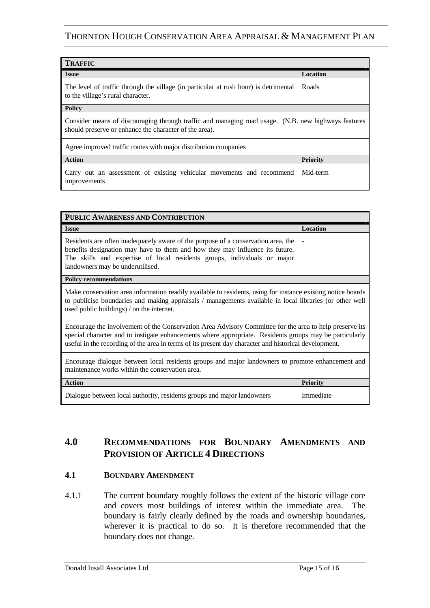| <b>TRAFFIC</b>                                                                                                                                                |          |  |
|---------------------------------------------------------------------------------------------------------------------------------------------------------------|----------|--|
| <b>Issue</b>                                                                                                                                                  | Location |  |
| The level of traffic through the village (in particular at rush hour) is detrimental<br>to the village's rural character.                                     | Roads    |  |
| <b>Policy</b>                                                                                                                                                 |          |  |
| Consider means of discouraging through traffic and managing road usage. (N.B. new highways features<br>should preserve or enhance the character of the area). |          |  |
| Agree improved traffic routes with major distribution companies                                                                                               |          |  |
| <b>Action</b>                                                                                                                                                 | Priority |  |
| Carry out an assessment of existing vehicular movements and recommend<br>improvements                                                                         | Mid-term |  |

| PUBLIC AWARENESS AND CONTRIBUTION                                                                                                                                                                                                                                                                                           |                 |  |
|-----------------------------------------------------------------------------------------------------------------------------------------------------------------------------------------------------------------------------------------------------------------------------------------------------------------------------|-----------------|--|
| <b>Issue</b>                                                                                                                                                                                                                                                                                                                | Location        |  |
| Residents are often inadequately aware of the purpose of a conservation area, the<br>benefits designation may have to them and how they may influence its future.<br>The skills and expertise of local residents groups, individuals or major<br>landowners may be underutilised.                                           |                 |  |
| <b>Policy recommendations</b>                                                                                                                                                                                                                                                                                               |                 |  |
| Make conservation area information readily available to residents, using for instance existing notice boards<br>to publicise boundaries and making appraisals / managements available in local libraries (or other well<br>used public buildings) / on the internet.                                                        |                 |  |
| Encourage the involvement of the Conservation Area Advisory Committee for the area to help preserve its<br>special character and to instigate enhancements where appropriate. Residents groups may be particularly<br>useful in the recording of the area in terms of its present day character and historical development. |                 |  |
| Encourage dialogue between local residents groups and major landowners to promote enhancement and<br>maintenance works within the conservation area.                                                                                                                                                                        |                 |  |
| <b>Action</b>                                                                                                                                                                                                                                                                                                               | <b>Priority</b> |  |
| Dialogue between local authority, residents groups and major landowners                                                                                                                                                                                                                                                     | Immediate       |  |

### **4.0 RECOMMENDATIONS FOR BOUNDARY AMENDMENTS AND PROVISION OF ARTICLE 4 DIRECTIONS**

#### **4.1 BOUNDARY AMENDMENT**

4.1.1 The current boundary roughly follows the extent of the historic village core and covers most buildings of interest within the immediate area. The boundary is fairly clearly defined by the roads and ownership boundaries, wherever it is practical to do so. It is therefore recommended that the boundary does not change.